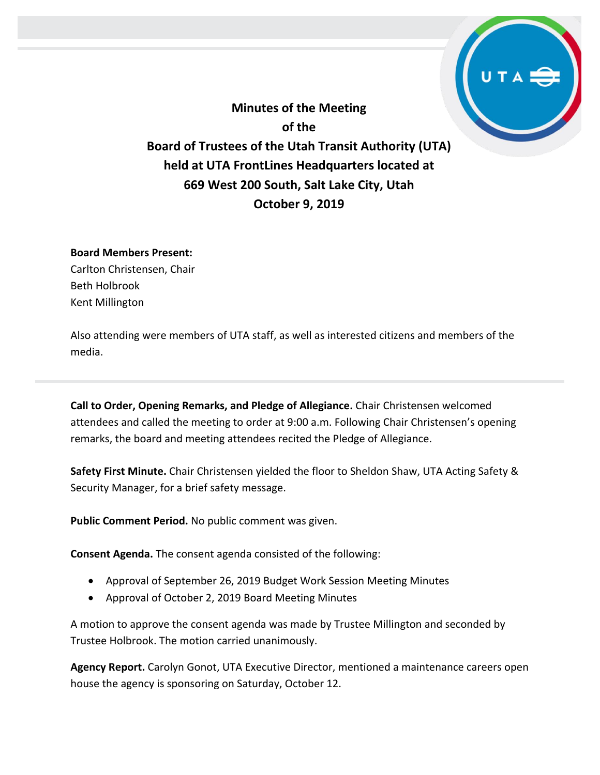**Minutes of the Meeting of the Board of Trustees of the Utah Transit Authority (UTA) held at UTA FrontLines Headquarters located at 669 West 200 South, Salt Lake City, Utah October 9, 2019**

## **Board Members Present:**

Carlton Christensen, Chair Beth Holbrook Kent Millington

Also attending were members of UTA staff, as well as interested citizens and members of the media.

**Call to Order, Opening Remarks, and Pledge of Allegiance.** Chair Christensen welcomed attendees and called the meeting to order at 9:00 a.m. Following Chair Christensen's opening remarks, the board and meeting attendees recited the Pledge of Allegiance.

**Safety First Minute.** Chair Christensen yielded the floor to Sheldon Shaw, UTA Acting Safety & Security Manager, for a brief safety message.

**Public Comment Period.** No public comment was given.

**Consent Agenda.** The consent agenda consisted of the following:

- Approval of September 26, 2019 Budget Work Session Meeting Minutes
- Approval of October 2, 2019 Board Meeting Minutes

A motion to approve the consent agenda was made by Trustee Millington and seconded by Trustee Holbrook. The motion carried unanimously.

**Agency Report.** Carolyn Gonot, UTA Executive Director, mentioned a maintenance careers open house the agency is sponsoring on Saturday, October 12.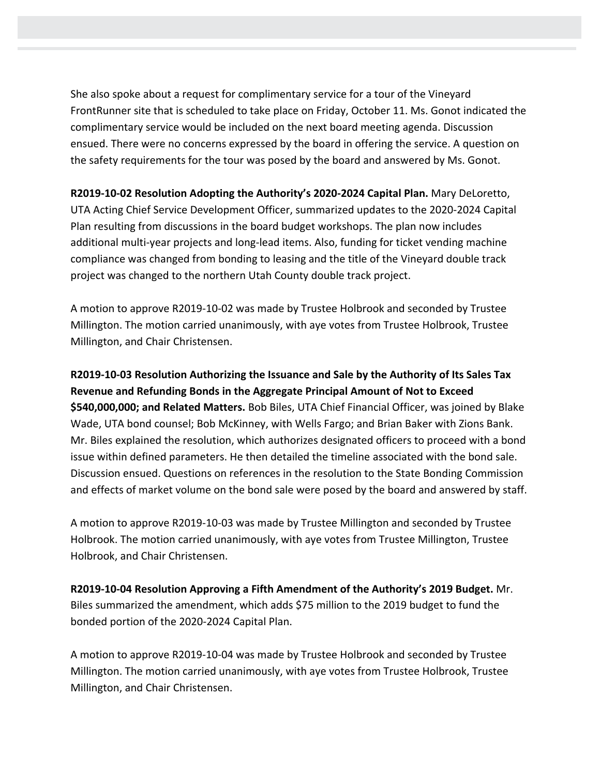She also spoke about a request for complimentary service for a tour of the Vineyard FrontRunner site that is scheduled to take place on Friday, October 11. Ms. Gonot indicated the complimentary service would be included on the next board meeting agenda. Discussion ensued. There were no concerns expressed by the board in offering the service. A question on the safety requirements for the tour was posed by the board and answered by Ms. Gonot.

**R2019-10-02 Resolution Adopting the Authority's 2020-2024 Capital Plan.** Mary DeLoretto, UTA Acting Chief Service Development Officer, summarized updates to the 2020-2024 Capital Plan resulting from discussions in the board budget workshops. The plan now includes additional multi-year projects and long-lead items. Also, funding for ticket vending machine compliance was changed from bonding to leasing and the title of the Vineyard double track project was changed to the northern Utah County double track project.

A motion to approve R2019-10-02 was made by Trustee Holbrook and seconded by Trustee Millington. The motion carried unanimously, with aye votes from Trustee Holbrook, Trustee Millington, and Chair Christensen.

**R2019-10-03 Resolution Authorizing the Issuance and Sale by the Authority of Its Sales Tax Revenue and Refunding Bonds in the Aggregate Principal Amount of Not to Exceed \$540,000,000; and Related Matters.** Bob Biles, UTA Chief Financial Officer, was joined by Blake Wade, UTA bond counsel; Bob McKinney, with Wells Fargo; and Brian Baker with Zions Bank. Mr. Biles explained the resolution, which authorizes designated officers to proceed with a bond issue within defined parameters. He then detailed the timeline associated with the bond sale. Discussion ensued. Questions on references in the resolution to the State Bonding Commission and effects of market volume on the bond sale were posed by the board and answered by staff.

A motion to approve R2019-10-03 was made by Trustee Millington and seconded by Trustee Holbrook. The motion carried unanimously, with aye votes from Trustee Millington, Trustee Holbrook, and Chair Christensen.

**R2019-10-04 Resolution Approving a Fifth Amendment of the Authority's 2019 Budget.** Mr. Biles summarized the amendment, which adds \$75 million to the 2019 budget to fund the bonded portion of the 2020-2024 Capital Plan.

A motion to approve R2019-10-04 was made by Trustee Holbrook and seconded by Trustee Millington. The motion carried unanimously, with aye votes from Trustee Holbrook, Trustee Millington, and Chair Christensen.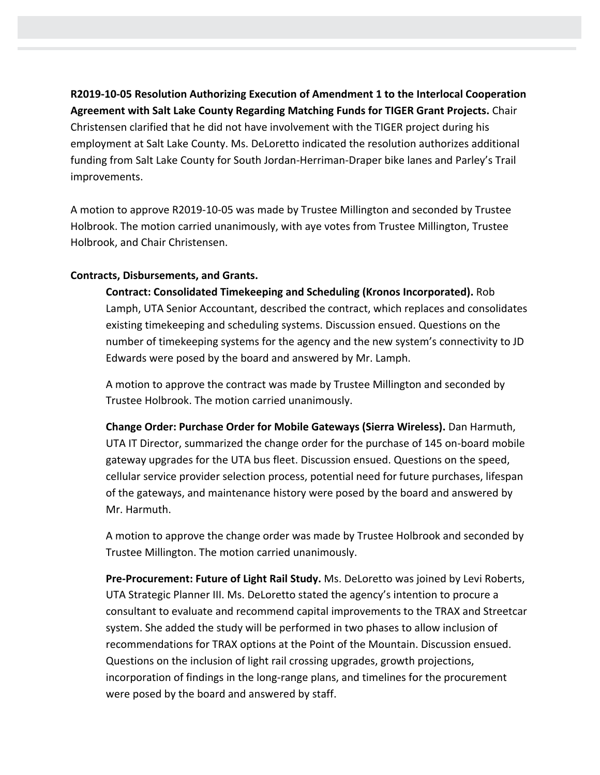**R2019-10-05 Resolution Authorizing Execution of Amendment 1 to the Interlocal Cooperation Agreement with Salt Lake County Regarding Matching Funds for TIGER Grant Projects.** Chair Christensen clarified that he did not have involvement with the TIGER project during his employment at Salt Lake County. Ms. DeLoretto indicated the resolution authorizes additional funding from Salt Lake County for South Jordan-Herriman-Draper bike lanes and Parley's Trail improvements.

A motion to approve R2019-10-05 was made by Trustee Millington and seconded by Trustee Holbrook. The motion carried unanimously, with aye votes from Trustee Millington, Trustee Holbrook, and Chair Christensen.

### **Contracts, Disbursements, and Grants.**

**Contract: Consolidated Timekeeping and Scheduling (Kronos Incorporated).** Rob Lamph, UTA Senior Accountant, described the contract, which replaces and consolidates existing timekeeping and scheduling systems. Discussion ensued. Questions on the number of timekeeping systems for the agency and the new system's connectivity to JD Edwards were posed by the board and answered by Mr. Lamph.

A motion to approve the contract was made by Trustee Millington and seconded by Trustee Holbrook. The motion carried unanimously.

**Change Order: Purchase Order for Mobile Gateways (Sierra Wireless).** Dan Harmuth, UTA IT Director, summarized the change order for the purchase of 145 on-board mobile gateway upgrades for the UTA bus fleet. Discussion ensued. Questions on the speed, cellular service provider selection process, potential need for future purchases, lifespan of the gateways, and maintenance history were posed by the board and answered by Mr. Harmuth.

A motion to approve the change order was made by Trustee Holbrook and seconded by Trustee Millington. The motion carried unanimously.

**Pre-Procurement: Future of Light Rail Study.** Ms. DeLoretto was joined by Levi Roberts, UTA Strategic Planner III. Ms. DeLoretto stated the agency's intention to procure a consultant to evaluate and recommend capital improvements to the TRAX and Streetcar system. She added the study will be performed in two phases to allow inclusion of recommendations for TRAX options at the Point of the Mountain. Discussion ensued. Questions on the inclusion of light rail crossing upgrades, growth projections, incorporation of findings in the long-range plans, and timelines for the procurement were posed by the board and answered by staff.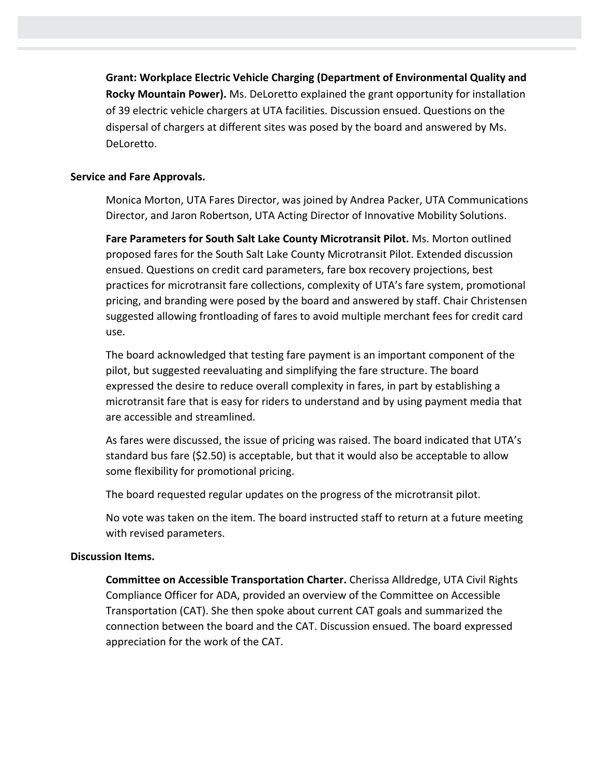**Grant: Workplace Electric Vehicle Charging (Department of Environmental Quality and Rocky Mountain Power).** Ms. DeLoretto explained the grant opportunity for installation of 39 electric vehicle chargers at UTA facilities. Discussion ensued. Questions on the dispersal of chargers at different sites was posed by the board and answered by Ms. DeLoretto.

## **Service and Fare Approvals.**

Monica Morton, UTA Fares Director, was joined by Andrea Packer, UTA Communications Director, and Jaron Robertson, UTA Acting Director of Innovative Mobility Solutions.

**Fare Parameters for South Salt Lake County Microtransit Pilot.** Ms. Morton outlined proposed fares for the South Salt Lake County Microtransit Pilot. Extended discussion ensued. Questions on credit card parameters, fare box recovery projections, best practices for microtransit fare collections, complexity of UTA's fare system, promotional pricing, and branding were posed by the board and answered by staff. Chair Christensen suggested allowing frontloading of fares to avoid multiple merchant fees for credit card use.

The board acknowledged that testing fare payment is an important component of the pilot, but suggested reevaluating and simplifying the fare structure. The board expressed the desire to reduce overall complexity in fares, in part by establishing a microtransit fare that is easy for riders to understand and by using payment media that are accessible and streamlined.

As fares were discussed, the issue of pricing was raised. The board indicated that UTA's standard bus fare (\$2.50) is acceptable, but that it would also be acceptable to allow some flexibility for promotional pricing.

The board requested regular updates on the progress of the microtransit pilot.

No vote was taken on the item. The board instructed staff to return at a future meeting with revised parameters.

## **Discussion Items.**

**Committee on Accessible Transportation Charter.** Cherissa Alldredge, UTA Civil Rights Compliance Officer for ADA, provided an overview of the Committee on Accessible Transportation (CAT). She then spoke about current CAT goals and summarized the connection between the board and the CAT. Discussion ensued. The board expressed appreciation for the work of the CAT.